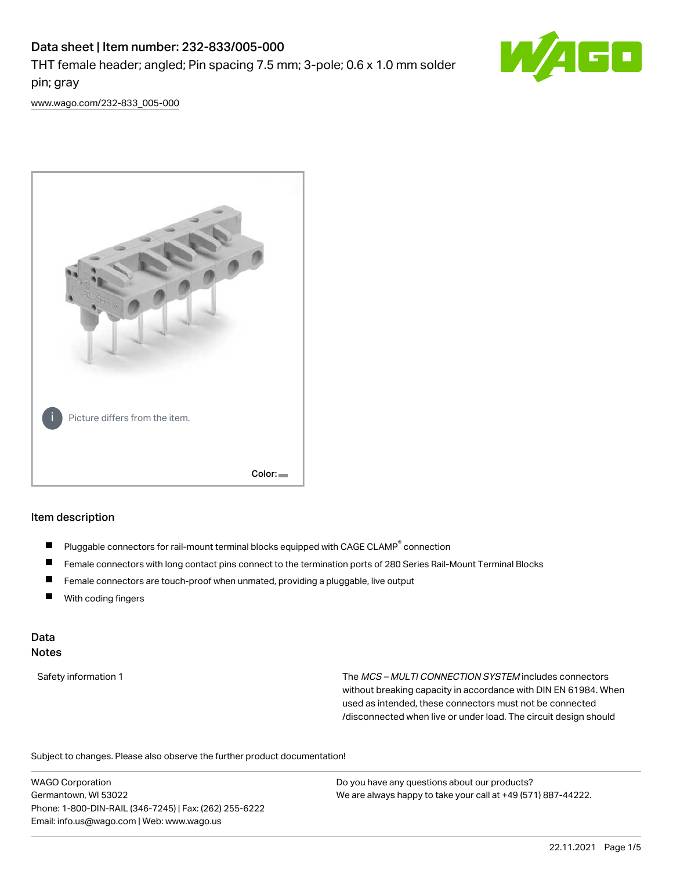# Data sheet | Item number: 232-833/005-000 THT female header; angled; Pin spacing 7.5 mm; 3-pole; 0.6 x 1.0 mm solder pin; gray



[www.wago.com/232-833\\_005-000](http://www.wago.com/232-833_005-000)



#### Item description

- Pluggable connectors for rail-mount terminal blocks equipped with CAGE CLAMP<sup>®</sup> connection П
- П Female connectors with long contact pins connect to the termination ports of 280 Series Rail-Mount Terminal Blocks
- $\blacksquare$ Female connectors are touch-proof when unmated, providing a pluggable, live output
- $\blacksquare$ With coding fingers

#### Data Notes

Safety information 1 The MCS – MULTI CONNECTION SYSTEM includes connectors without breaking capacity in accordance with DIN EN 61984. When used as intended, these connectors must not be connected /disconnected when live or under load. The circuit design should

Subject to changes. Please also observe the further product documentation!  $\mathbf{e}$ 

WAGO Corporation Germantown, WI 53022 Phone: 1-800-DIN-RAIL (346-7245) | Fax: (262) 255-6222 Email: info.us@wago.com | Web: www.wago.us

Do you have any questions about our products? We are always happy to take your call at +49 (571) 887-44222.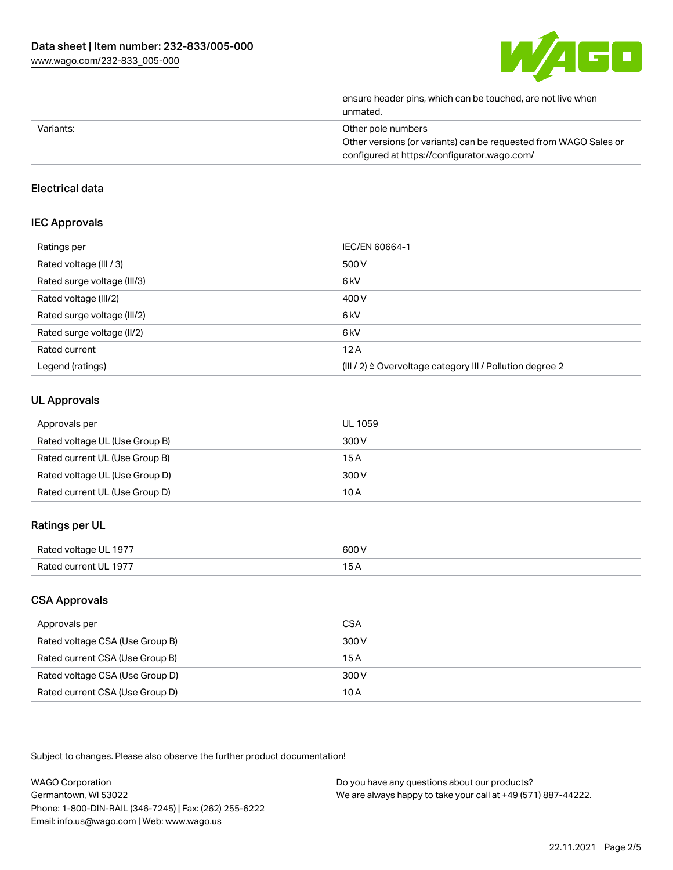

|           | ensure header pins, which can be touched, are not live when<br>unmated. |
|-----------|-------------------------------------------------------------------------|
| Variants: | Other pole numbers                                                      |
|           | Other versions (or variants) can be requested from WAGO Sales or        |
|           | configured at https://configurator.wago.com/                            |

## Electrical data

## IEC Approvals

| Ratings per                 | IEC/EN 60664-1                                                        |
|-----------------------------|-----------------------------------------------------------------------|
| Rated voltage (III / 3)     | 500 V                                                                 |
| Rated surge voltage (III/3) | 6 <sub>kV</sub>                                                       |
| Rated voltage (III/2)       | 400 V                                                                 |
| Rated surge voltage (III/2) | 6 <sub>kV</sub>                                                       |
| Rated surge voltage (II/2)  | 6 <sub>kV</sub>                                                       |
| Rated current               | 12A                                                                   |
| Legend (ratings)            | $(III / 2)$ $\triangle$ Overvoltage category III / Pollution degree 2 |

## UL Approvals

| Approvals per                  | UL 1059 |
|--------------------------------|---------|
| Rated voltage UL (Use Group B) | 300 V   |
| Rated current UL (Use Group B) | 15 A    |
| Rated voltage UL (Use Group D) | 300 V   |
| Rated current UL (Use Group D) | 10 A    |

## Ratings per UL

| Rated volta<br>JL 1977<br>л | 600 V<br>. |
|-----------------------------|------------|
| Rat<br>1977<br>∈H.          | ◡~<br>____ |

## CSA Approvals

| Approvals per                   | CSA   |
|---------------------------------|-------|
| Rated voltage CSA (Use Group B) | 300 V |
| Rated current CSA (Use Group B) | 15 A  |
| Rated voltage CSA (Use Group D) | 300 V |
| Rated current CSA (Use Group D) | 10 A  |

Subject to changes. Please also observe the further product documentation!

| <b>WAGO Corporation</b>                                | Do you have any questions about our products?                 |
|--------------------------------------------------------|---------------------------------------------------------------|
| Germantown, WI 53022                                   | We are always happy to take your call at +49 (571) 887-44222. |
| Phone: 1-800-DIN-RAIL (346-7245)   Fax: (262) 255-6222 |                                                               |
| Email: info.us@wago.com   Web: www.wago.us             |                                                               |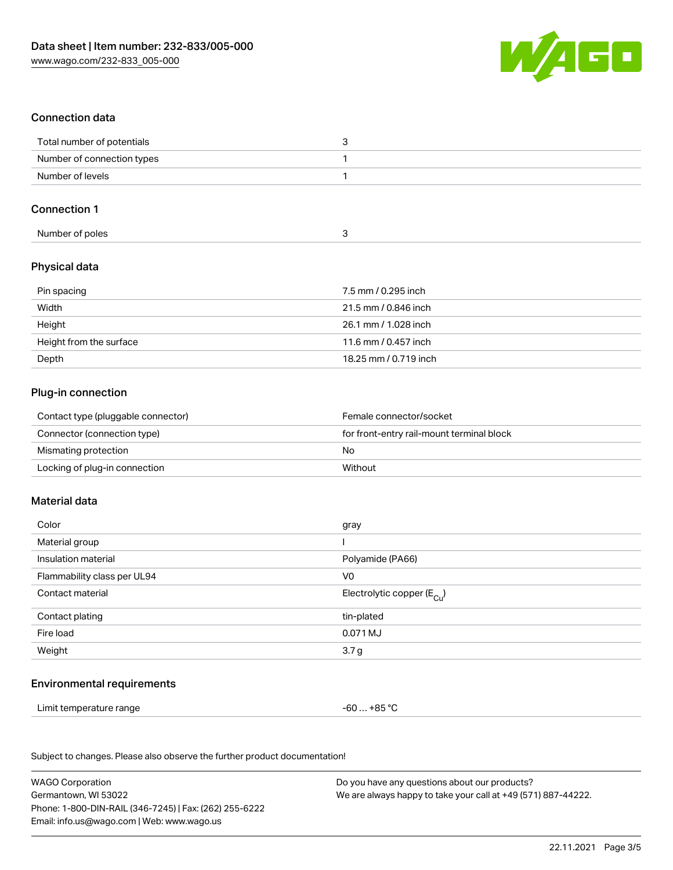

## Connection data

| Total number of potentials |  |
|----------------------------|--|
| Number of connection types |  |
| Number of levels           |  |

#### Connection 1

| Number of poles |  |  |
|-----------------|--|--|

## Physical data

| Pin spacing             | 7.5 mm / 0.295 inch   |
|-------------------------|-----------------------|
| Width                   | 21.5 mm / 0.846 inch  |
| Height                  | 26.1 mm / 1.028 inch  |
| Height from the surface | 11.6 mm / 0.457 inch  |
| Depth                   | 18.25 mm / 0.719 inch |

## Plug-in connection

| Contact type (pluggable connector) | Female connector/socket                   |
|------------------------------------|-------------------------------------------|
| Connector (connection type)        | for front-entry rail-mount terminal block |
| Mismating protection               | No                                        |
| Locking of plug-in connection      | Without                                   |

#### Material data

| Color                       | gray                                    |
|-----------------------------|-----------------------------------------|
| Material group              |                                         |
| Insulation material         | Polyamide (PA66)                        |
| Flammability class per UL94 | V <sub>0</sub>                          |
| Contact material            | Electrolytic copper ( $E_{\text{Cu}}$ ) |
| Contact plating             | tin-plated                              |
| Fire load                   | 0.071 MJ                                |
| Weight                      | 3.7 <sub>g</sub>                        |
|                             |                                         |

#### Environmental requirements

Limit temperature range  $-60... +85$  °C

Subject to changes. Please also observe the further product documentation!

| <b>WAGO Corporation</b>                                | Do you have any questions about our products?                 |
|--------------------------------------------------------|---------------------------------------------------------------|
| Germantown, WI 53022                                   | We are always happy to take your call at +49 (571) 887-44222. |
| Phone: 1-800-DIN-RAIL (346-7245)   Fax: (262) 255-6222 |                                                               |
| Email: info.us@wago.com   Web: www.wago.us             |                                                               |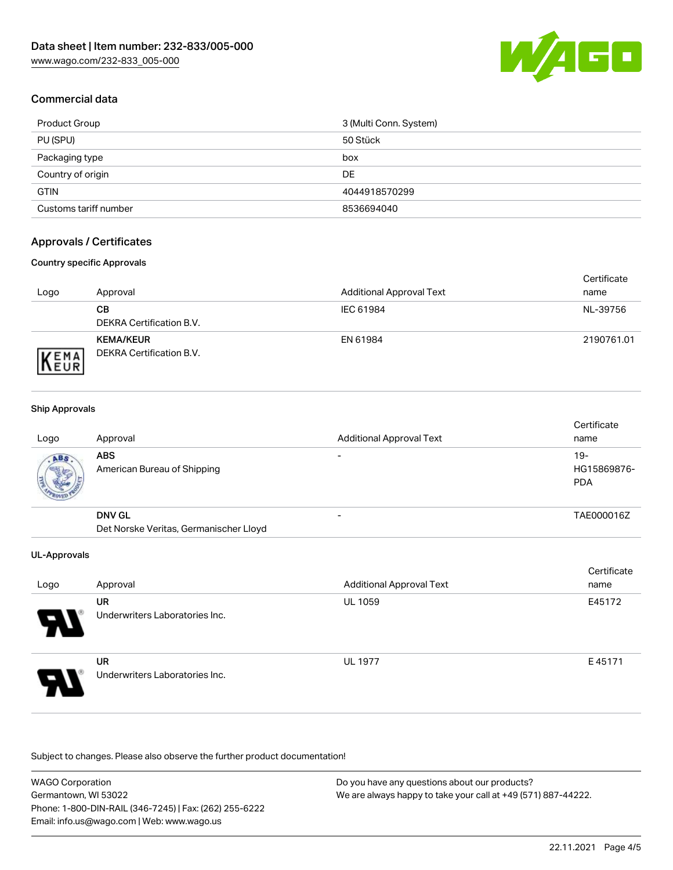

## Commercial data

| Product Group         | 3 (Multi Conn. System) |
|-----------------------|------------------------|
| PU (SPU)              | 50 Stück               |
| Packaging type        | box                    |
| Country of origin     | DE                     |
| <b>GTIN</b>           | 4044918570299          |
| Customs tariff number | 8536694040             |

## Approvals / Certificates

#### Country specific Approvals

| Logo                | Approval                                            | <b>Additional Approval Text</b> | Certificate<br>name |
|---------------------|-----------------------------------------------------|---------------------------------|---------------------|
|                     | CВ<br>DEKRA Certification B.V.                      | IEC 61984                       | NL-39756            |
| EMA<br><b>INEUR</b> | <b>KEMA/KEUR</b><br><b>DEKRA Certification B.V.</b> | EN 61984                        | 2190761.01          |

#### Ship Approvals

| Logo | Approval                                  | <b>Additional Approval Text</b> | Certificate<br>name              |
|------|-------------------------------------------|---------------------------------|----------------------------------|
| ABS. | <b>ABS</b><br>American Bureau of Shipping |                                 | 19-<br>HG15869876-<br><b>PDA</b> |
|      | <b>DNV GL</b>                             |                                 | TAE000016Z                       |
|      | Det Norske Veritas, Germanischer Lloyd    |                                 |                                  |

#### UL-Approvals

| Logo                  | Approval                                    | <b>Additional Approval Text</b> | Certificate<br>name |
|-----------------------|---------------------------------------------|---------------------------------|---------------------|
| $\boldsymbol{\theta}$ | UR<br>Underwriters Laboratories Inc.        | <b>UL 1059</b>                  | E45172              |
| 8                     | <b>UR</b><br>Underwriters Laboratories Inc. | <b>UL 1977</b>                  | E45171              |

Subject to changes. Please also observe the further product documentation!

WAGO Corporation Germantown, WI 53022 Phone: 1-800-DIN-RAIL (346-7245) | Fax: (262) 255-6222 Email: info.us@wago.com | Web: www.wago.us Do you have any questions about our products? We are always happy to take your call at +49 (571) 887-44222.